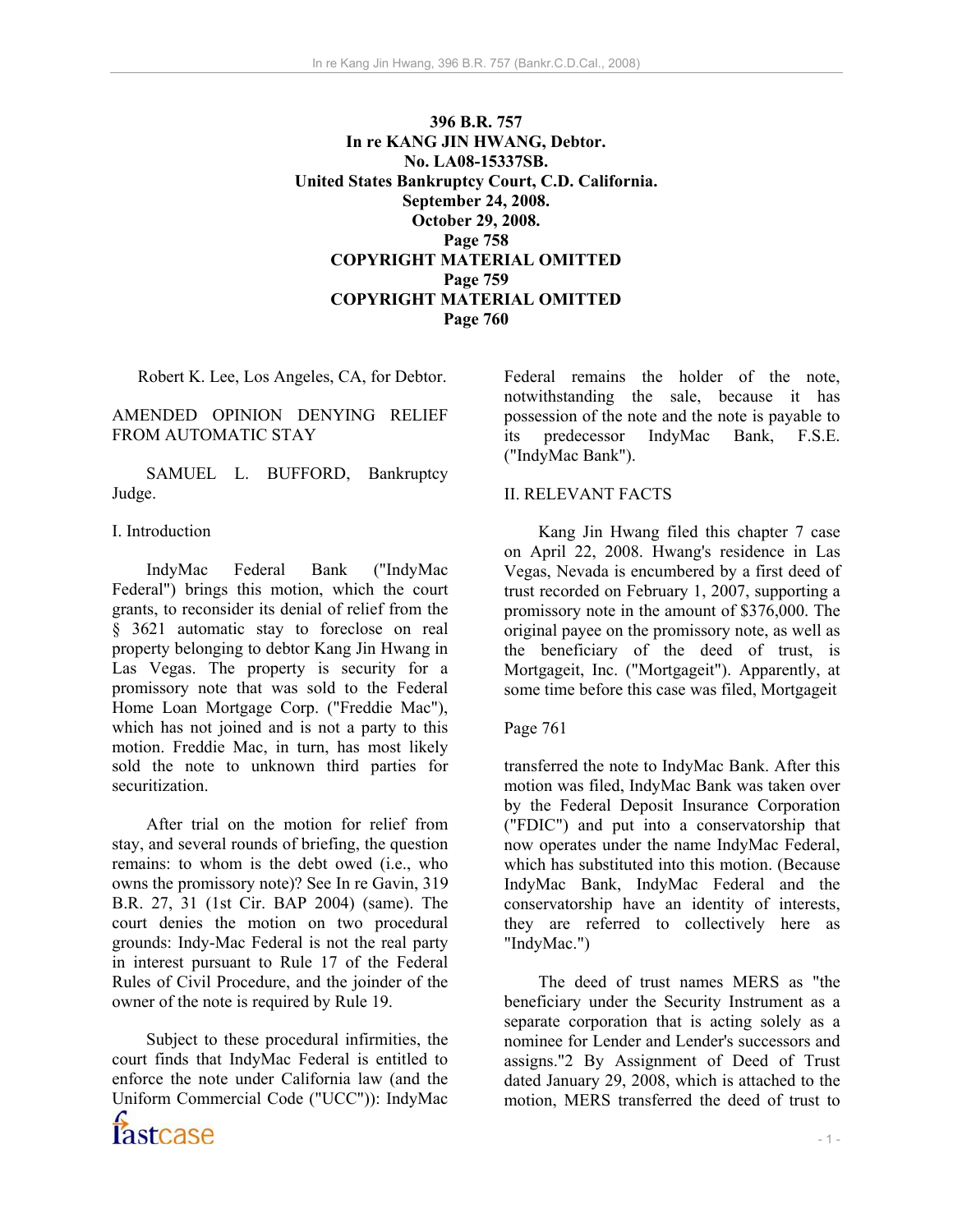**396 B.R. 757 In re KANG JIN HWANG, Debtor. No. LA08-15337SB. United States Bankruptcy Court, C.D. California. September 24, 2008. October 29, 2008. Page 758 COPYRIGHT MATERIAL OMITTED Page 759 COPYRIGHT MATERIAL OMITTED Page 760** 

Robert K. Lee, Los Angeles, CA, for Debtor.

#### AMENDED OPINION DENYING RELIEF FROM AUTOMATIC STAY

 SAMUEL L. BUFFORD, Bankruptcy Judge.

#### I. Introduction

 IndyMac Federal Bank ("IndyMac Federal") brings this motion, which the court grants, to reconsider its denial of relief from the § 3621 automatic stay to foreclose on real property belonging to debtor Kang Jin Hwang in Las Vegas. The property is security for a promissory note that was sold to the Federal Home Loan Mortgage Corp. ("Freddie Mac"), which has not joined and is not a party to this motion. Freddie Mac, in turn, has most likely sold the note to unknown third parties for securitization.

 After trial on the motion for relief from stay, and several rounds of briefing, the question remains: to whom is the debt owed (i.e., who owns the promissory note)? See In re Gavin, 319 B.R. 27, 31 (1st Cir. BAP 2004) (same). The court denies the motion on two procedural grounds: Indy-Mac Federal is not the real party in interest pursuant to Rule 17 of the Federal Rules of Civil Procedure, and the joinder of the owner of the note is required by Rule 19.

 Subject to these procedural infirmities, the court finds that IndyMac Federal is entitled to enforce the note under California law (and the Uniform Commercial Code ("UCC")): IndyMac

Federal remains the holder of the note, notwithstanding the sale, because it has possession of the note and the note is payable to its predecessor IndyMac Bank, F.S.E. ("IndyMac Bank").

#### II. RELEVANT FACTS

 Kang Jin Hwang filed this chapter 7 case on April 22, 2008. Hwang's residence in Las Vegas, Nevada is encumbered by a first deed of trust recorded on February 1, 2007, supporting a promissory note in the amount of \$376,000. The original payee on the promissory note, as well as the beneficiary of the deed of trust, is Mortgageit, Inc. ("Mortgageit"). Apparently, at some time before this case was filed, Mortgageit

### Page 761

transferred the note to IndyMac Bank. After this motion was filed, IndyMac Bank was taken over by the Federal Deposit Insurance Corporation ("FDIC") and put into a conservatorship that now operates under the name IndyMac Federal, which has substituted into this motion. (Because IndyMac Bank, IndyMac Federal and the conservatorship have an identity of interests, they are referred to collectively here as "IndyMac.")

 The deed of trust names MERS as "the beneficiary under the Security Instrument as a separate corporation that is acting solely as a nominee for Lender and Lender's successors and assigns."2 By Assignment of Deed of Trust dated January 29, 2008, which is attached to the motion, MERS transferred the deed of trust to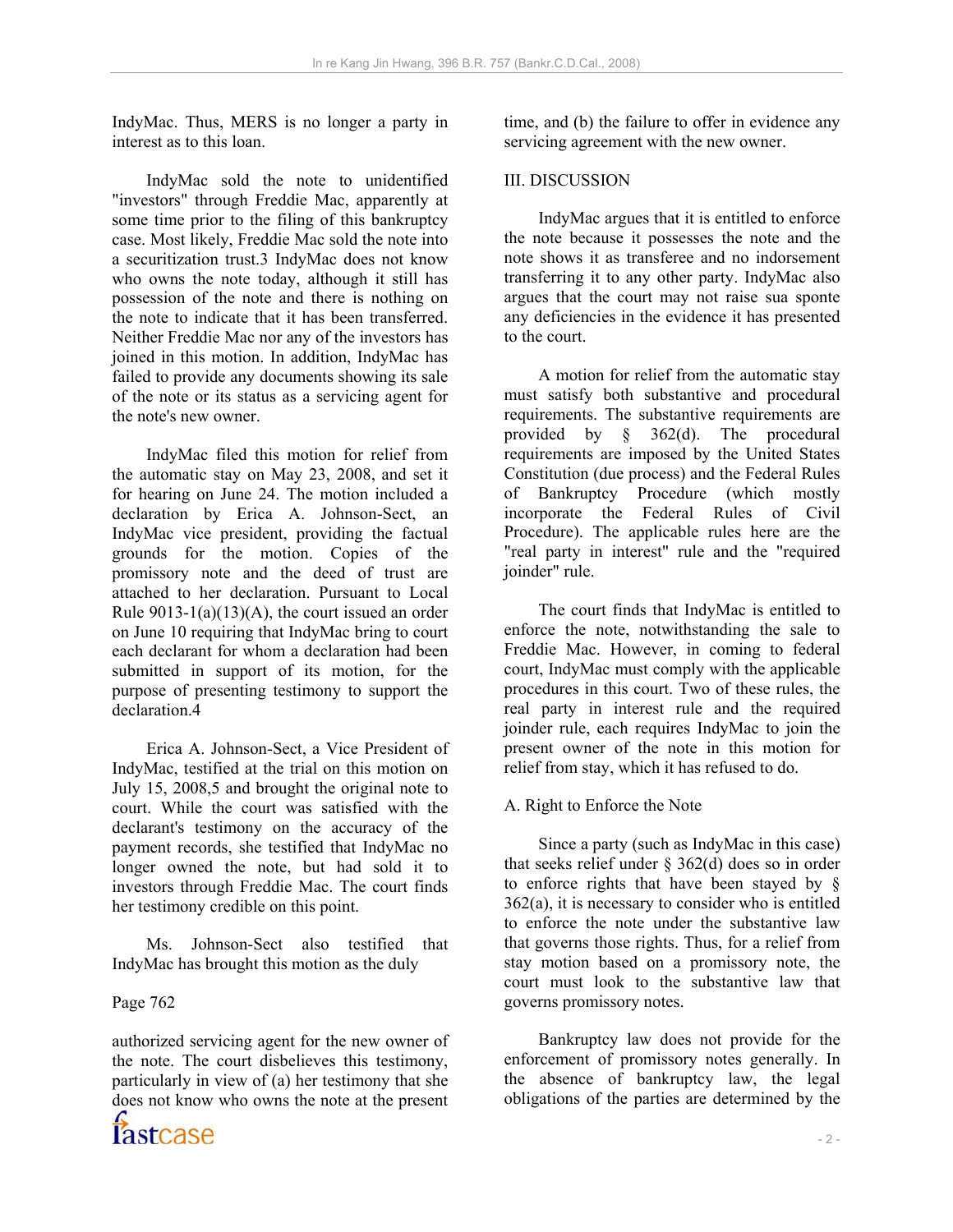IndyMac. Thus, MERS is no longer a party in interest as to this loan.

 IndyMac sold the note to unidentified "investors" through Freddie Mac, apparently at some time prior to the filing of this bankruptcy case. Most likely, Freddie Mac sold the note into a securitization trust.3 IndyMac does not know who owns the note today, although it still has possession of the note and there is nothing on the note to indicate that it has been transferred. Neither Freddie Mac nor any of the investors has joined in this motion. In addition, IndyMac has failed to provide any documents showing its sale of the note or its status as a servicing agent for the note's new owner.

 IndyMac filed this motion for relief from the automatic stay on May 23, 2008, and set it for hearing on June 24. The motion included a declaration by Erica A. Johnson-Sect, an IndyMac vice president, providing the factual grounds for the motion. Copies of the promissory note and the deed of trust are attached to her declaration. Pursuant to Local Rule  $9013-1(a)(13)(A)$ , the court issued an order on June 10 requiring that IndyMac bring to court each declarant for whom a declaration had been submitted in support of its motion, for the purpose of presenting testimony to support the declaration 4

 Erica A. Johnson-Sect, a Vice President of IndyMac, testified at the trial on this motion on July 15, 2008,5 and brought the original note to court. While the court was satisfied with the declarant's testimony on the accuracy of the payment records, she testified that IndyMac no longer owned the note, but had sold it to investors through Freddie Mac. The court finds her testimony credible on this point.

 Ms. Johnson-Sect also testified that IndyMac has brought this motion as the duly

# Page 762

authorized servicing agent for the new owner of the note. The court disbelieves this testimony, particularly in view of (a) her testimony that she does not know who owns the note at the present time, and (b) the failure to offer in evidence any servicing agreement with the new owner.

# III. DISCUSSION

 IndyMac argues that it is entitled to enforce the note because it possesses the note and the note shows it as transferee and no indorsement transferring it to any other party. IndyMac also argues that the court may not raise sua sponte any deficiencies in the evidence it has presented to the court.

 A motion for relief from the automatic stay must satisfy both substantive and procedural requirements. The substantive requirements are provided by § 362(d). The procedural requirements are imposed by the United States Constitution (due process) and the Federal Rules of Bankruptcy Procedure (which mostly incorporate the Federal Rules of Civil Procedure). The applicable rules here are the "real party in interest" rule and the "required joinder" rule.

 The court finds that IndyMac is entitled to enforce the note, notwithstanding the sale to Freddie Mac. However, in coming to federal court, IndyMac must comply with the applicable procedures in this court. Two of these rules, the real party in interest rule and the required joinder rule, each requires IndyMac to join the present owner of the note in this motion for relief from stay, which it has refused to do.

# A. Right to Enforce the Note

 Since a party (such as IndyMac in this case) that seeks relief under  $\S$  362(d) does so in order to enforce rights that have been stayed by § 362(a), it is necessary to consider who is entitled to enforce the note under the substantive law that governs those rights. Thus, for a relief from stay motion based on a promissory note, the court must look to the substantive law that governs promissory notes.

 Bankruptcy law does not provide for the enforcement of promissory notes generally. In the absence of bankruptcy law, the legal obligations of the parties are determined by the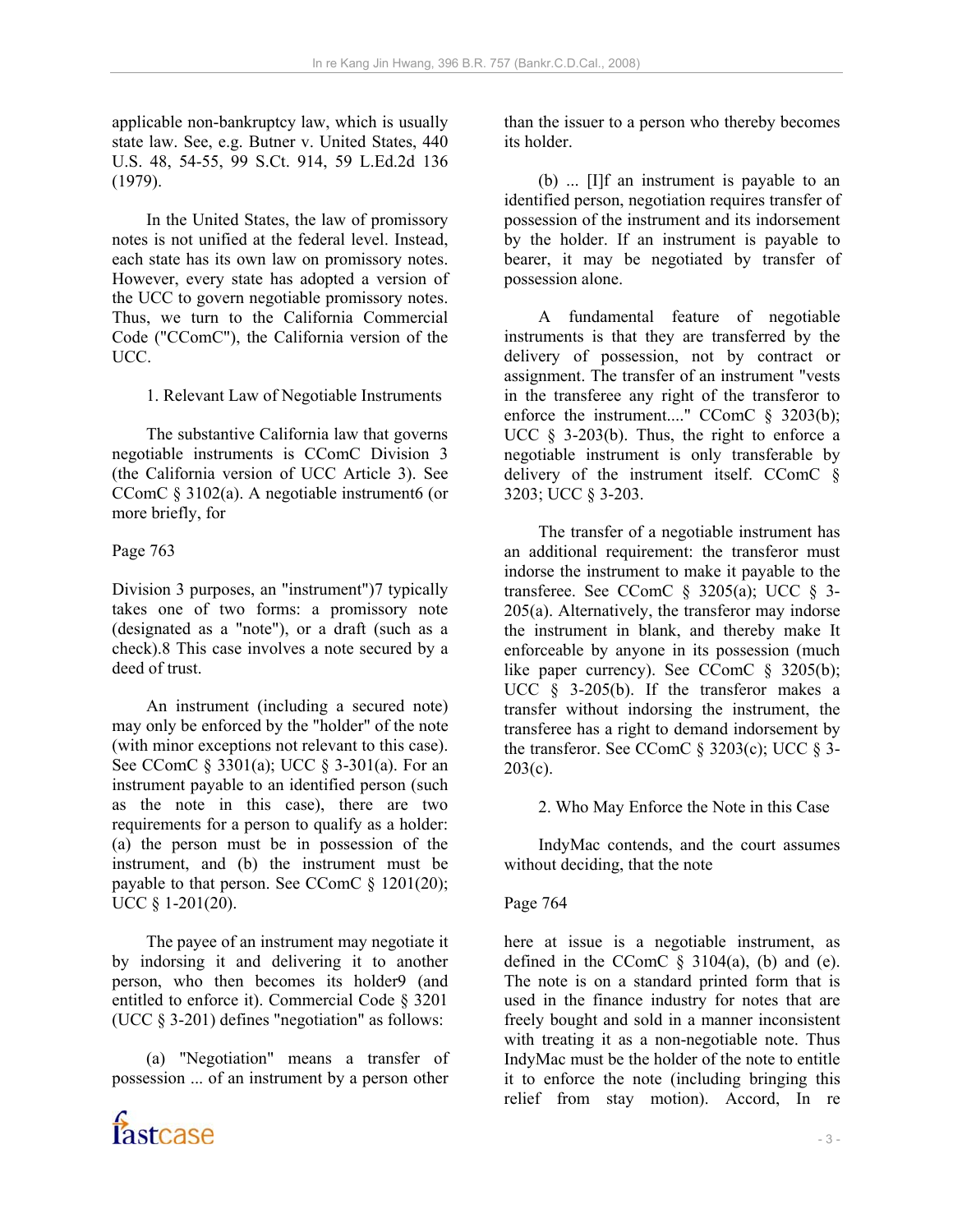applicable non-bankruptcy law, which is usually state law. See, e.g. Butner v. United States, 440 U.S. 48, 54-55, 99 S.Ct. 914, 59 L.Ed.2d 136 (1979).

 In the United States, the law of promissory notes is not unified at the federal level. Instead, each state has its own law on promissory notes. However, every state has adopted a version of the UCC to govern negotiable promissory notes. Thus, we turn to the California Commercial Code ("CComC"), the California version of the UCC.

1. Relevant Law of Negotiable Instruments

 The substantive California law that governs negotiable instruments is CComC Division 3 (the California version of UCC Article 3). See CComC § 3102(a). A negotiable instrument6 (or more briefly, for

### Page 763

Division 3 purposes, an "instrument")7 typically takes one of two forms: a promissory note (designated as a "note"), or a draft (such as a check).8 This case involves a note secured by a deed of trust.

 An instrument (including a secured note) may only be enforced by the "holder" of the note (with minor exceptions not relevant to this case). See CComC § 3301(a); UCC § 3-301(a). For an instrument payable to an identified person (such as the note in this case), there are two requirements for a person to qualify as a holder: (a) the person must be in possession of the instrument, and (b) the instrument must be payable to that person. See CComC § 1201(20); UCC § 1-201(20).

 The payee of an instrument may negotiate it by indorsing it and delivering it to another person, who then becomes its holder9 (and entitled to enforce it). Commercial Code § 3201 (UCC § 3-201) defines "negotiation" as follows:

 (a) "Negotiation" means a transfer of possession ... of an instrument by a person other



than the issuer to a person who thereby becomes its holder.

 (b) ... [I]f an instrument is payable to an identified person, negotiation requires transfer of possession of the instrument and its indorsement by the holder. If an instrument is payable to bearer, it may be negotiated by transfer of possession alone.

 A fundamental feature of negotiable instruments is that they are transferred by the delivery of possession, not by contract or assignment. The transfer of an instrument "vests in the transferee any right of the transferor to enforce the instrument...." CComC § 3203(b); UCC  $\S$  3-203(b). Thus, the right to enforce a negotiable instrument is only transferable by delivery of the instrument itself. CComC § 3203; UCC § 3-203.

 The transfer of a negotiable instrument has an additional requirement: the transferor must indorse the instrument to make it payable to the transferee. See CComC  $\S$  3205(a); UCC  $\S$  3-205(a). Alternatively, the transferor may indorse the instrument in blank, and thereby make It enforceable by anyone in its possession (much like paper currency). See CComC  $§$  3205(b); UCC § 3-205(b). If the transferor makes a transfer without indorsing the instrument, the transferee has a right to demand indorsement by the transferor. See CComC  $\S$  3203(c); UCC  $\S$  3- $203(c)$ .

2. Who May Enforce the Note in this Case

 IndyMac contends, and the court assumes without deciding, that the note

# Page 764

here at issue is a negotiable instrument, as defined in the CComC  $\S$  3104(a), (b) and (e). The note is on a standard printed form that is used in the finance industry for notes that are freely bought and sold in a manner inconsistent with treating it as a non-negotiable note. Thus IndyMac must be the holder of the note to entitle it to enforce the note (including bringing this relief from stay motion). Accord, In re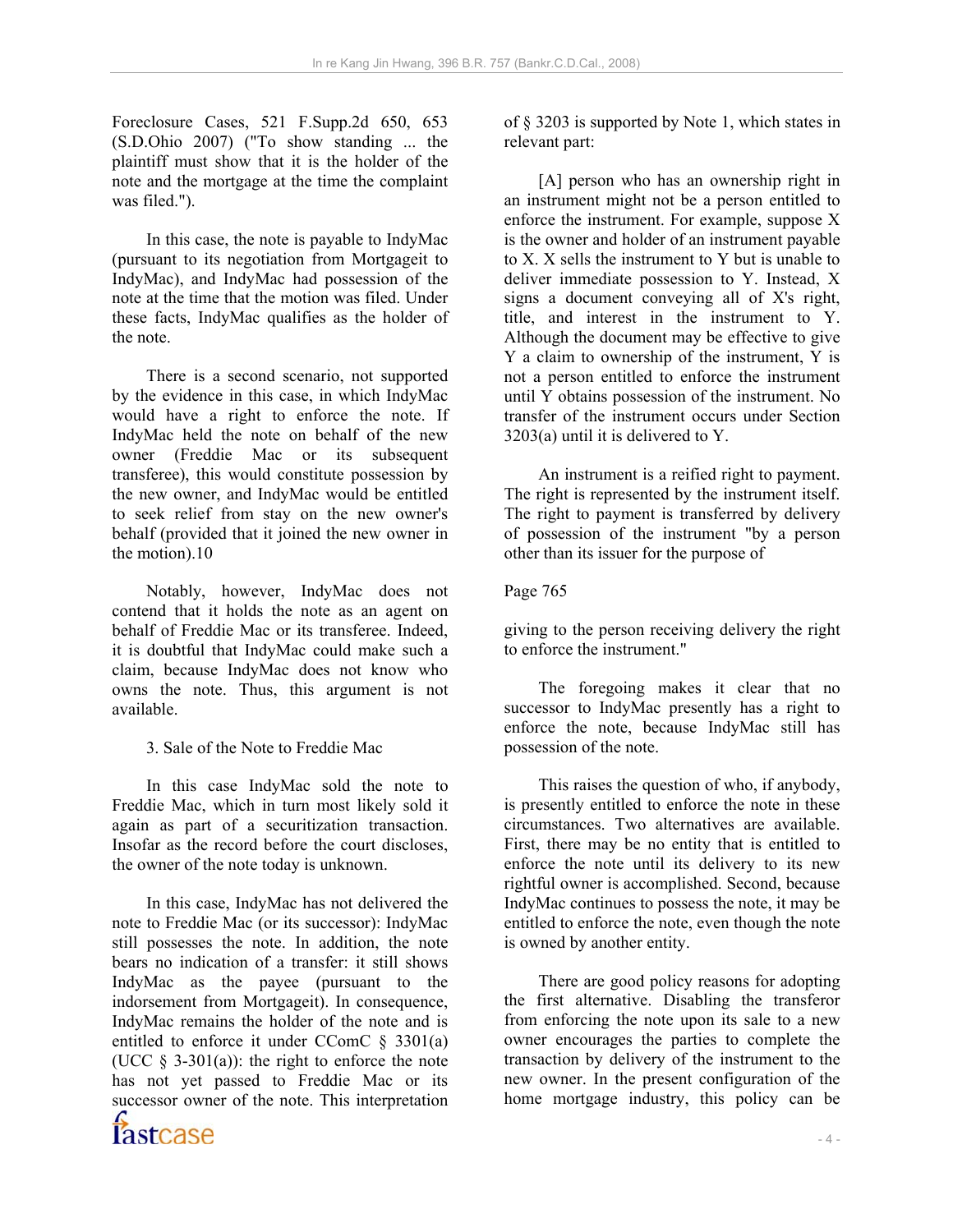Foreclosure Cases, 521 F.Supp.2d 650, 653 (S.D.Ohio 2007) ("To show standing ... the plaintiff must show that it is the holder of the note and the mortgage at the time the complaint was filed.").

 In this case, the note is payable to IndyMac (pursuant to its negotiation from Mortgageit to IndyMac), and IndyMac had possession of the note at the time that the motion was filed. Under these facts, IndyMac qualifies as the holder of the note.

 There is a second scenario, not supported by the evidence in this case, in which IndyMac would have a right to enforce the note. If IndyMac held the note on behalf of the new owner (Freddie Mac or its subsequent transferee), this would constitute possession by the new owner, and IndyMac would be entitled to seek relief from stay on the new owner's behalf (provided that it joined the new owner in the motion).10

 Notably, however, IndyMac does not contend that it holds the note as an agent on behalf of Freddie Mac or its transferee. Indeed, it is doubtful that IndyMac could make such a claim, because IndyMac does not know who owns the note. Thus, this argument is not available.

3. Sale of the Note to Freddie Mac

 In this case IndyMac sold the note to Freddie Mac, which in turn most likely sold it again as part of a securitization transaction. Insofar as the record before the court discloses, the owner of the note today is unknown.

 In this case, IndyMac has not delivered the note to Freddie Mac (or its successor): IndyMac still possesses the note. In addition, the note bears no indication of a transfer: it still shows IndyMac as the payee (pursuant to the indorsement from Mortgageit). In consequence, IndyMac remains the holder of the note and is entitled to enforce it under CComC § 3301(a) (UCC  $\S$  3-301(a)): the right to enforce the note has not yet passed to Freddie Mac or its successor owner of the note. This interpretation

of § 3203 is supported by Note 1, which states in relevant part:

 [A] person who has an ownership right in an instrument might not be a person entitled to enforce the instrument. For example, suppose X is the owner and holder of an instrument payable to X. X sells the instrument to Y but is unable to deliver immediate possession to Y. Instead, X signs a document conveying all of X's right, title, and interest in the instrument to Y. Although the document may be effective to give Y a claim to ownership of the instrument, Y is not a person entitled to enforce the instrument until Y obtains possession of the instrument. No transfer of the instrument occurs under Section 3203(a) until it is delivered to Y.

 An instrument is a reified right to payment. The right is represented by the instrument itself. The right to payment is transferred by delivery of possession of the instrument "by a person other than its issuer for the purpose of

#### Page 765

giving to the person receiving delivery the right to enforce the instrument."

 The foregoing makes it clear that no successor to IndyMac presently has a right to enforce the note, because IndyMac still has possession of the note.

 This raises the question of who, if anybody, is presently entitled to enforce the note in these circumstances. Two alternatives are available. First, there may be no entity that is entitled to enforce the note until its delivery to its new rightful owner is accomplished. Second, because IndyMac continues to possess the note, it may be entitled to enforce the note, even though the note is owned by another entity.

 There are good policy reasons for adopting the first alternative. Disabling the transferor from enforcing the note upon its sale to a new owner encourages the parties to complete the transaction by delivery of the instrument to the new owner. In the present configuration of the home mortgage industry, this policy can be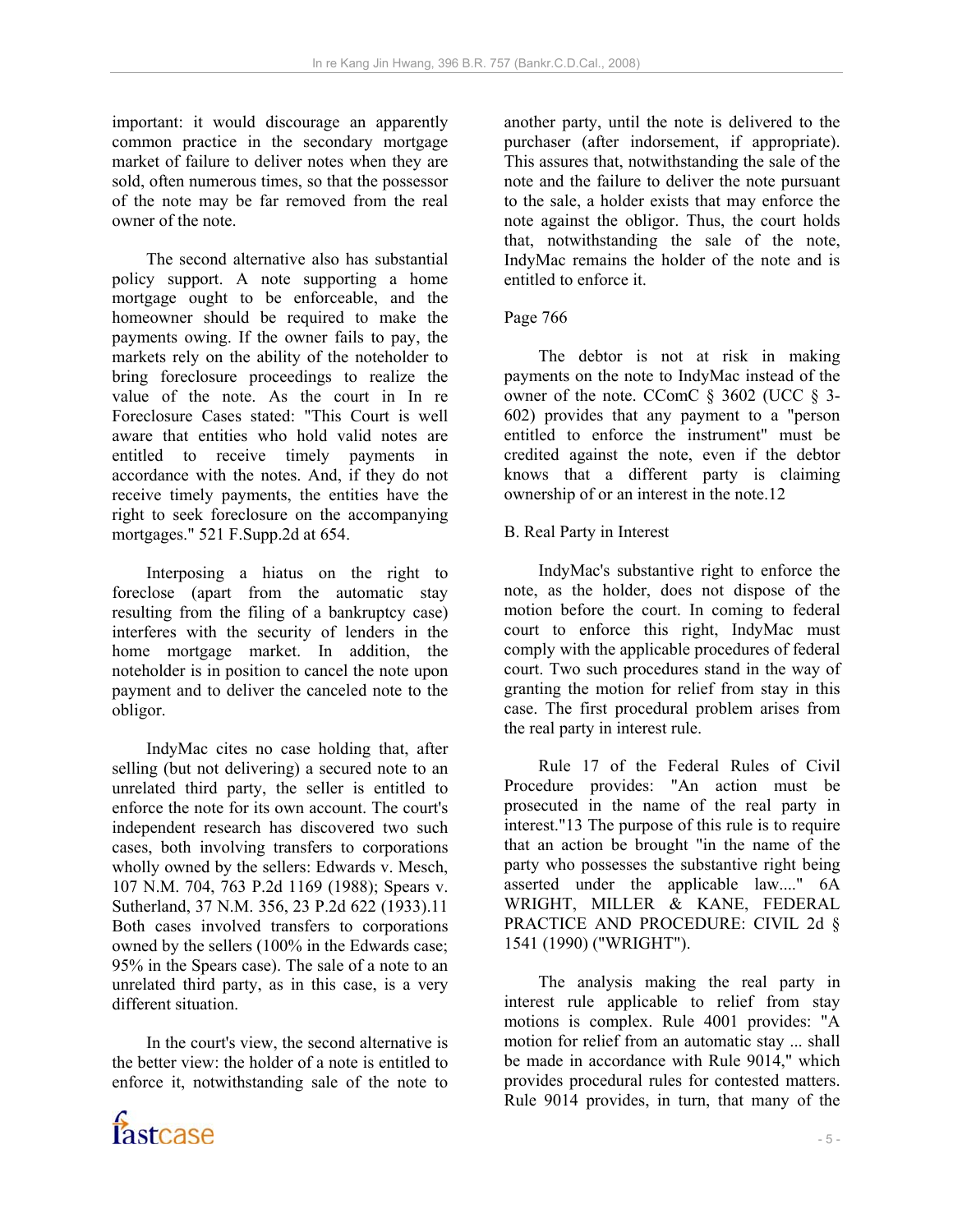important: it would discourage an apparently common practice in the secondary mortgage market of failure to deliver notes when they are sold, often numerous times, so that the possessor of the note may be far removed from the real owner of the note.

 The second alternative also has substantial policy support. A note supporting a home mortgage ought to be enforceable, and the homeowner should be required to make the payments owing. If the owner fails to pay, the markets rely on the ability of the noteholder to bring foreclosure proceedings to realize the value of the note. As the court in In re Foreclosure Cases stated: "This Court is well aware that entities who hold valid notes are entitled to receive timely payments in accordance with the notes. And, if they do not receive timely payments, the entities have the right to seek foreclosure on the accompanying mortgages." 521 F.Supp.2d at 654.

 Interposing a hiatus on the right to foreclose (apart from the automatic stay resulting from the filing of a bankruptcy case) interferes with the security of lenders in the home mortgage market. In addition, the noteholder is in position to cancel the note upon payment and to deliver the canceled note to the obligor.

 IndyMac cites no case holding that, after selling (but not delivering) a secured note to an unrelated third party, the seller is entitled to enforce the note for its own account. The court's independent research has discovered two such cases, both involving transfers to corporations wholly owned by the sellers: Edwards v. Mesch, 107 N.M. 704, 763 P.2d 1169 (1988); Spears v. Sutherland, 37 N.M. 356, 23 P.2d 622 (1933).11 Both cases involved transfers to corporations owned by the sellers (100% in the Edwards case; 95% in the Spears case). The sale of a note to an unrelated third party, as in this case, is a very different situation.

 In the court's view, the second alternative is the better view: the holder of a note is entitled to enforce it, notwithstanding sale of the note to



another party, until the note is delivered to the purchaser (after indorsement, if appropriate). This assures that, notwithstanding the sale of the note and the failure to deliver the note pursuant to the sale, a holder exists that may enforce the note against the obligor. Thus, the court holds that, notwithstanding the sale of the note, IndyMac remains the holder of the note and is entitled to enforce it.

### Page 766

 The debtor is not at risk in making payments on the note to IndyMac instead of the owner of the note. CComC  $\S$  3602 (UCC  $\S$  3-602) provides that any payment to a "person entitled to enforce the instrument" must be credited against the note, even if the debtor knows that a different party is claiming ownership of or an interest in the note.12

### B. Real Party in Interest

 IndyMac's substantive right to enforce the note, as the holder, does not dispose of the motion before the court. In coming to federal court to enforce this right, IndyMac must comply with the applicable procedures of federal court. Two such procedures stand in the way of granting the motion for relief from stay in this case. The first procedural problem arises from the real party in interest rule.

 Rule 17 of the Federal Rules of Civil Procedure provides: "An action must be prosecuted in the name of the real party in interest."13 The purpose of this rule is to require that an action be brought "in the name of the party who possesses the substantive right being asserted under the applicable law...." 6A WRIGHT, MILLER & KANE, FEDERAL PRACTICE AND PROCEDURE: CIVIL 2d § 1541 (1990) ("WRIGHT").

 The analysis making the real party in interest rule applicable to relief from stay motions is complex. Rule 4001 provides: "A motion for relief from an automatic stay ... shall be made in accordance with Rule 9014," which provides procedural rules for contested matters. Rule 9014 provides, in turn, that many of the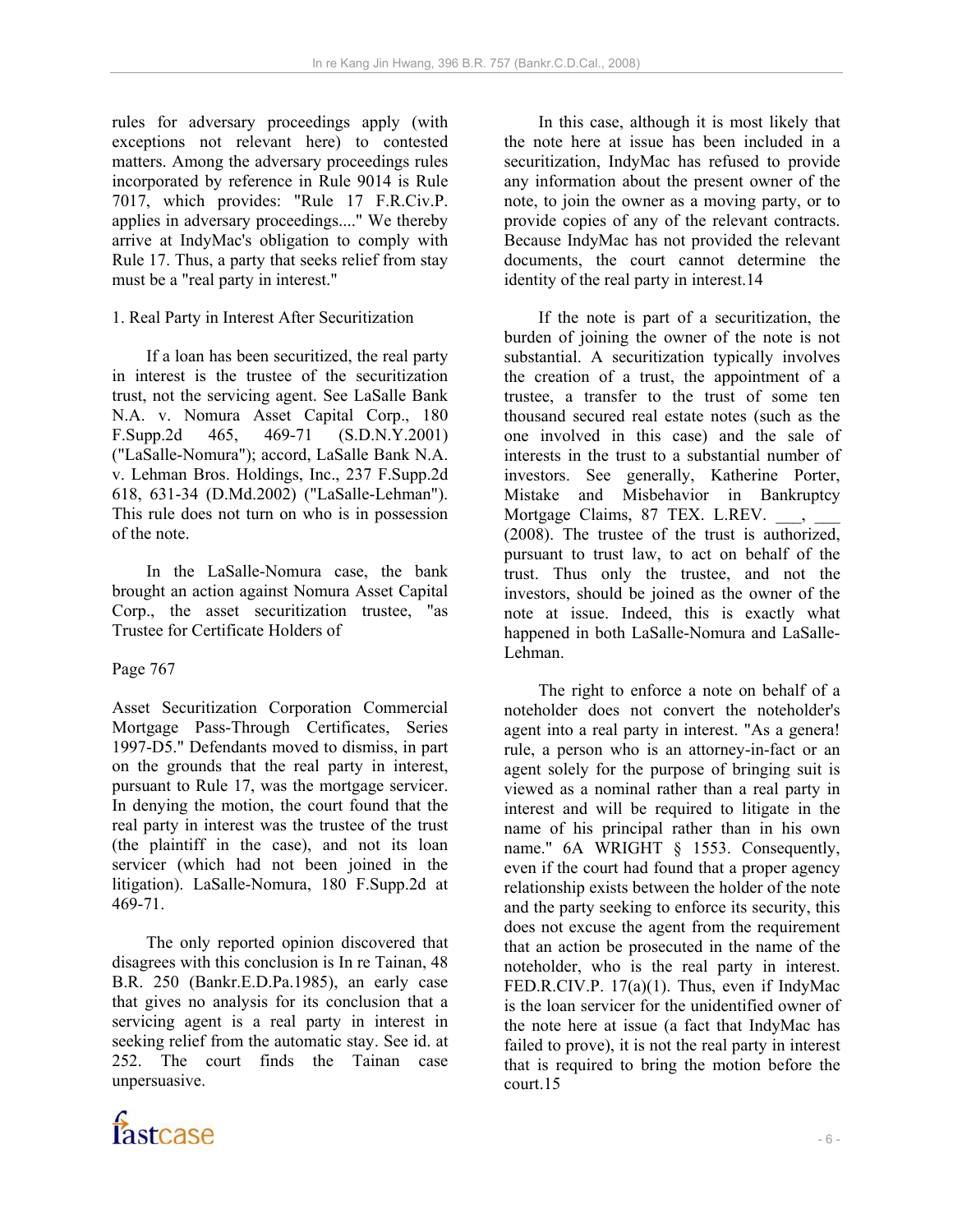rules for adversary proceedings apply (with exceptions not relevant here) to contested matters. Among the adversary proceedings rules incorporated by reference in Rule 9014 is Rule 7017, which provides: "Rule 17 F.R.Civ.P. applies in adversary proceedings...." We thereby arrive at IndyMac's obligation to comply with Rule 17. Thus, a party that seeks relief from stay must be a "real party in interest."

# 1. Real Party in Interest After Securitization

 If a loan has been securitized, the real party in interest is the trustee of the securitization trust, not the servicing agent. See LaSalle Bank N.A. v. Nomura Asset Capital Corp., 180 F.Supp.2d 465, 469-71 (S.D.N.Y.2001) ("LaSalle-Nomura"); accord, LaSalle Bank N.A. v. Lehman Bros. Holdings, Inc., 237 F.Supp.2d 618, 631-34 (D.Md.2002) ("LaSalle-Lehman"). This rule does not turn on who is in possession of the note.

 In the LaSalle-Nomura case, the bank brought an action against Nomura Asset Capital Corp., the asset securitization trustee, "as Trustee for Certificate Holders of

# Page 767

Asset Securitization Corporation Commercial Mortgage Pass-Through Certificates, Series 1997-D5." Defendants moved to dismiss, in part on the grounds that the real party in interest, pursuant to Rule 17, was the mortgage servicer. In denying the motion, the court found that the real party in interest was the trustee of the trust (the plaintiff in the case), and not its loan servicer (which had not been joined in the litigation). LaSalle-Nomura, 180 F.Supp.2d at 469-71.

 The only reported opinion discovered that disagrees with this conclusion is In re Tainan, 48 B.R. 250 (Bankr.E.D.Pa.1985), an early case that gives no analysis for its conclusion that a servicing agent is a real party in interest in seeking relief from the automatic stay. See id. at 252. The court finds the Tainan case unpersuasive.



 If the note is part of a securitization, the burden of joining the owner of the note is not substantial. A securitization typically involves the creation of a trust, the appointment of a trustee, a transfer to the trust of some ten thousand secured real estate notes (such as the one involved in this case) and the sale of interests in the trust to a substantial number of investors. See generally, Katherine Porter, Mistake and Misbehavior in Bankruptcy Mortgage Claims, 87 TEX. L.REV. (2008). The trustee of the trust is authorized, pursuant to trust law, to act on behalf of the trust. Thus only the trustee, and not the investors, should be joined as the owner of the note at issue. Indeed, this is exactly what happened in both LaSalle-Nomura and LaSalle-Lehman.

 The right to enforce a note on behalf of a noteholder does not convert the noteholder's agent into a real party in interest. "As a genera! rule, a person who is an attorney-in-fact or an agent solely for the purpose of bringing suit is viewed as a nominal rather than a real party in interest and will be required to litigate in the name of his principal rather than in his own name." 6A WRIGHT § 1553. Consequently, even if the court had found that a proper agency relationship exists between the holder of the note and the party seeking to enforce its security, this does not excuse the agent from the requirement that an action be prosecuted in the name of the noteholder, who is the real party in interest. FED.R.CIV.P. 17(a)(1). Thus, even if IndyMac is the loan servicer for the unidentified owner of the note here at issue (a fact that IndyMac has failed to prove), it is not the real party in interest that is required to bring the motion before the court.15

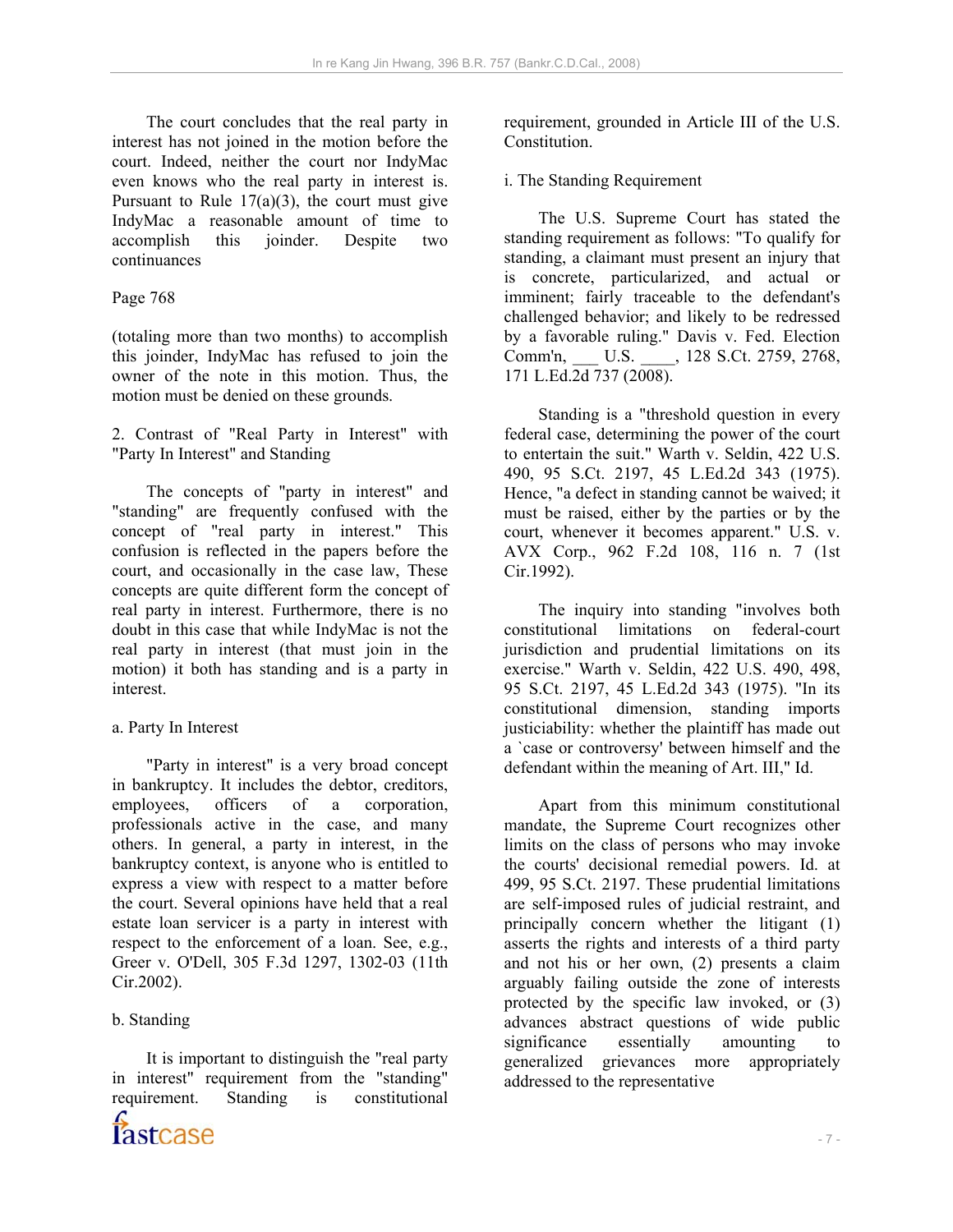The court concludes that the real party in interest has not joined in the motion before the court. Indeed, neither the court nor IndyMac even knows who the real party in interest is. Pursuant to Rule  $17(a)(3)$ , the court must give IndyMac a reasonable amount of time to accomplish this joinder. Despite two continuances

### Page 768

(totaling more than two months) to accomplish this joinder, IndyMac has refused to join the owner of the note in this motion. Thus, the motion must be denied on these grounds.

2. Contrast of "Real Party in Interest" with "Party In Interest" and Standing

 The concepts of "party in interest" and "standing" are frequently confused with the concept of "real party in interest." This confusion is reflected in the papers before the court, and occasionally in the case law, These concepts are quite different form the concept of real party in interest. Furthermore, there is no doubt in this case that while IndyMac is not the real party in interest (that must join in the motion) it both has standing and is a party in interest.

### a. Party In Interest

 "Party in interest" is a very broad concept in bankruptcy. It includes the debtor, creditors, employees, officers of a corporation, professionals active in the case, and many others. In general, a party in interest, in the bankruptcy context, is anyone who is entitled to express a view with respect to a matter before the court. Several opinions have held that a real estate loan servicer is a party in interest with respect to the enforcement of a loan. See, e.g., Greer v. O'Dell, 305 F.3d 1297, 1302-03 (11th Cir.2002).

### b. Standing

 It is important to distinguish the "real party in interest" requirement from the "standing" requirement. Standing is constitutional



requirement, grounded in Article III of the U.S. **Constitution** 

i. The Standing Requirement

 The U.S. Supreme Court has stated the standing requirement as follows: "To qualify for standing, a claimant must present an injury that is concrete, particularized, and actual or imminent; fairly traceable to the defendant's challenged behavior; and likely to be redressed by a favorable ruling." Davis v. Fed. Election Comm'n, \_\_\_ U.S. \_\_\_\_, 128 S.Ct. 2759, 2768, 171 L.Ed.2d 737 (2008).

 Standing is a "threshold question in every federal case, determining the power of the court to entertain the suit." Warth v. Seldin, 422 U.S. 490, 95 S.Ct. 2197, 45 L.Ed.2d 343 (1975). Hence, "a defect in standing cannot be waived; it must be raised, either by the parties or by the court, whenever it becomes apparent." U.S. v. AVX Corp., 962 F.2d 108, 116 n. 7 (1st Cir.1992).

 The inquiry into standing "involves both constitutional limitations on federal-court jurisdiction and prudential limitations on its exercise." Warth v. Seldin, 422 U.S. 490, 498, 95 S.Ct. 2197, 45 L.Ed.2d 343 (1975). "In its constitutional dimension, standing imports justiciability: whether the plaintiff has made out a `case or controversy' between himself and the defendant within the meaning of Art. III," Id.

 Apart from this minimum constitutional mandate, the Supreme Court recognizes other limits on the class of persons who may invoke the courts' decisional remedial powers. Id. at 499, 95 S.Ct. 2197. These prudential limitations are self-imposed rules of judicial restraint, and principally concern whether the litigant (1) asserts the rights and interests of a third party and not his or her own, (2) presents a claim arguably failing outside the zone of interests protected by the specific law invoked, or (3) advances abstract questions of wide public significance essentially amounting to generalized grievances more appropriately addressed to the representative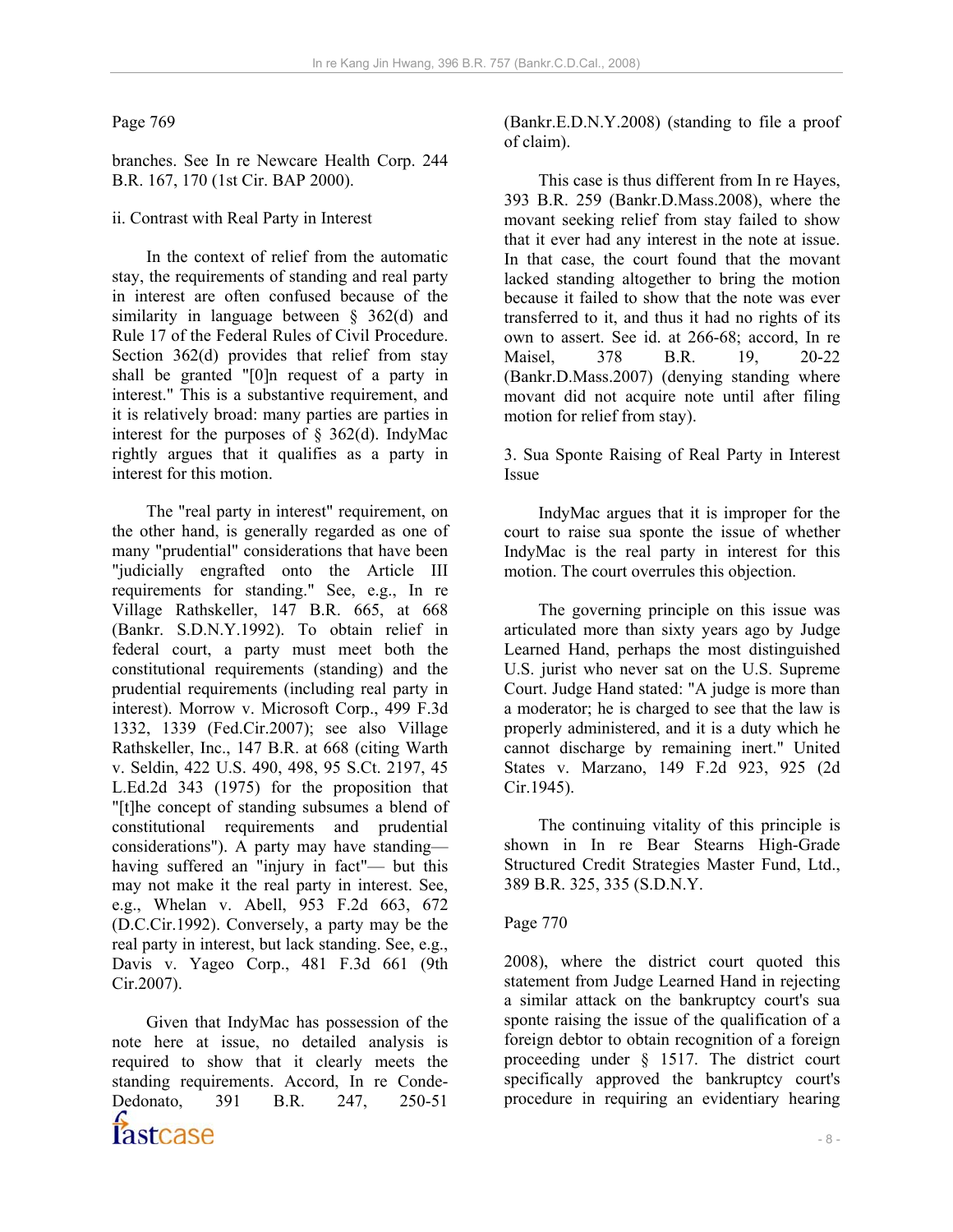### Page 769

branches. See In re Newcare Health Corp. 244 B.R. 167, 170 (1st Cir. BAP 2000).

ii. Contrast with Real Party in Interest

 In the context of relief from the automatic stay, the requirements of standing and real party in interest are often confused because of the similarity in language between § 362(d) and Rule 17 of the Federal Rules of Civil Procedure. Section 362(d) provides that relief from stay shall be granted "[0]n request of a party in interest." This is a substantive requirement, and it is relatively broad: many parties are parties in interest for the purposes of  $\S$  362(d). IndyMac rightly argues that it qualifies as a party in interest for this motion.

 The "real party in interest" requirement, on the other hand, is generally regarded as one of many "prudential" considerations that have been "judicially engrafted onto the Article III requirements for standing." See, e.g., In re Village Rathskeller, 147 B.R. 665, at 668 (Bankr. S.D.N.Y.1992). To obtain relief in federal court, a party must meet both the constitutional requirements (standing) and the prudential requirements (including real party in interest). Morrow v. Microsoft Corp., 499 F.3d 1332, 1339 (Fed.Cir.2007); see also Village Rathskeller, Inc., 147 B.R. at 668 (citing Warth v. Seldin, 422 U.S. 490, 498, 95 S.Ct. 2197, 45 L.Ed.2d 343 (1975) for the proposition that "[t]he concept of standing subsumes a blend of constitutional requirements and prudential considerations"). A party may have standing having suffered an "injury in fact"— but this may not make it the real party in interest. See, e.g., Whelan v. Abell, 953 F.2d 663, 672 (D.C.Cir.1992). Conversely, a party may be the real party in interest, but lack standing. See, e.g., Davis v. Yageo Corp., 481 F.3d 661 (9th Cir.2007).

 $-8$  - Given that IndyMac has possession of the note here at issue, no detailed analysis is required to show that it clearly meets the standing requirements. Accord, In re Conde-Dedonato, 391 B.R. 247, 250-51

(Bankr.E.D.N.Y.2008) (standing to file a proof of claim).

 This case is thus different from In re Hayes, 393 B.R. 259 (Bankr.D.Mass.2008), where the movant seeking relief from stay failed to show that it ever had any interest in the note at issue. In that case, the court found that the movant lacked standing altogether to bring the motion because it failed to show that the note was ever transferred to it, and thus it had no rights of its own to assert. See id. at 266-68; accord, In re Maisel, 378 B.R. 19, 20-22 (Bankr.D.Mass.2007) (denying standing where movant did not acquire note until after filing motion for relief from stay).

3. Sua Sponte Raising of Real Party in Interest Issue

 IndyMac argues that it is improper for the court to raise sua sponte the issue of whether IndyMac is the real party in interest for this motion. The court overrules this objection.

 The governing principle on this issue was articulated more than sixty years ago by Judge Learned Hand, perhaps the most distinguished U.S. jurist who never sat on the U.S. Supreme Court. Judge Hand stated: "A judge is more than a moderator; he is charged to see that the law is properly administered, and it is a duty which he cannot discharge by remaining inert." United States v. Marzano, 149 F.2d 923, 925 (2d Cir.1945).

 The continuing vitality of this principle is shown in In re Bear Stearns High-Grade Structured Credit Strategies Master Fund, Ltd., 389 B.R. 325, 335 (S.D.N.Y.

# Page 770

2008), where the district court quoted this statement from Judge Learned Hand in rejecting a similar attack on the bankruptcy court's sua sponte raising the issue of the qualification of a foreign debtor to obtain recognition of a foreign proceeding under § 1517. The district court specifically approved the bankruptcy court's procedure in requiring an evidentiary hearing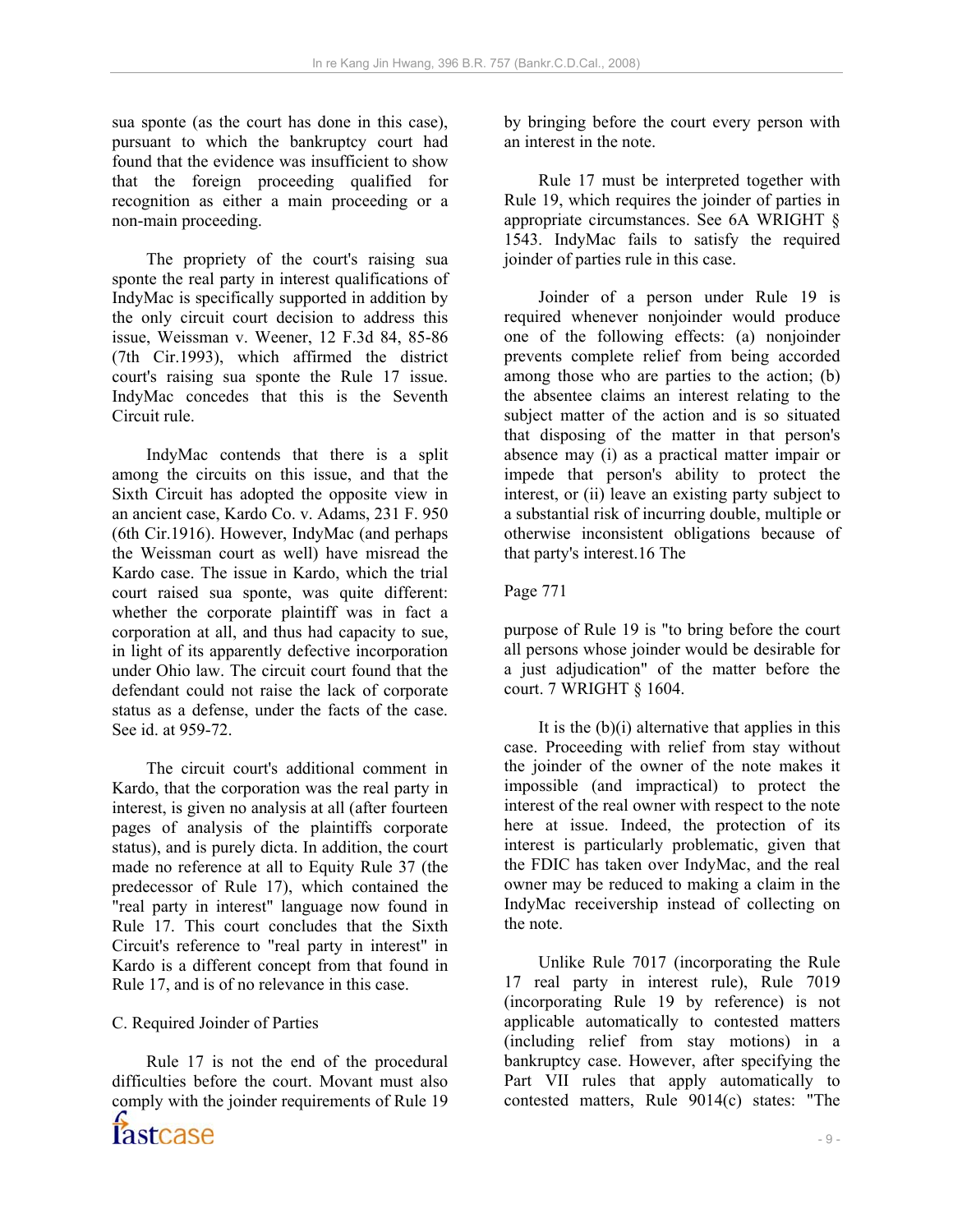sua sponte (as the court has done in this case), pursuant to which the bankruptcy court had found that the evidence was insufficient to show that the foreign proceeding qualified for recognition as either a main proceeding or a non-main proceeding.

 The propriety of the court's raising sua sponte the real party in interest qualifications of IndyMac is specifically supported in addition by the only circuit court decision to address this issue, Weissman v. Weener, 12 F.3d 84, 85-86 (7th Cir.1993), which affirmed the district court's raising sua sponte the Rule 17 issue. IndyMac concedes that this is the Seventh Circuit rule.

 IndyMac contends that there is a split among the circuits on this issue, and that the Sixth Circuit has adopted the opposite view in an ancient case, Kardo Co. v. Adams, 231 F. 950 (6th Cir.1916). However, IndyMac (and perhaps the Weissman court as well) have misread the Kardo case. The issue in Kardo, which the trial court raised sua sponte, was quite different: whether the corporate plaintiff was in fact a corporation at all, and thus had capacity to sue, in light of its apparently defective incorporation under Ohio law. The circuit court found that the defendant could not raise the lack of corporate status as a defense, under the facts of the case. See id. at 959-72.

 The circuit court's additional comment in Kardo, that the corporation was the real party in interest, is given no analysis at all (after fourteen pages of analysis of the plaintiffs corporate status), and is purely dicta. In addition, the court made no reference at all to Equity Rule 37 (the predecessor of Rule 17), which contained the "real party in interest" language now found in Rule 17. This court concludes that the Sixth Circuit's reference to "real party in interest" in Kardo is a different concept from that found in Rule 17, and is of no relevance in this case.

C. Required Joinder of Parties

 $-9$  - Rule 17 is not the end of the procedural difficulties before the court. Movant must also comply with the joinder requirements of Rule 19

by bringing before the court every person with an interest in the note.

 Rule 17 must be interpreted together with Rule 19, which requires the joinder of parties in appropriate circumstances. See 6A WRIGHT § 1543. IndyMac fails to satisfy the required joinder of parties rule in this case.

 Joinder of a person under Rule 19 is required whenever nonjoinder would produce one of the following effects: (a) nonjoinder prevents complete relief from being accorded among those who are parties to the action; (b) the absentee claims an interest relating to the subject matter of the action and is so situated that disposing of the matter in that person's absence may (i) as a practical matter impair or impede that person's ability to protect the interest, or (ii) leave an existing party subject to a substantial risk of incurring double, multiple or otherwise inconsistent obligations because of that party's interest.16 The

Page 771

purpose of Rule 19 is "to bring before the court all persons whose joinder would be desirable for a just adjudication" of the matter before the court. 7 WRIGHT § 1604.

It is the  $(b)(i)$  alternative that applies in this case. Proceeding with relief from stay without the joinder of the owner of the note makes it impossible (and impractical) to protect the interest of the real owner with respect to the note here at issue. Indeed, the protection of its interest is particularly problematic, given that the FDIC has taken over IndyMac, and the real owner may be reduced to making a claim in the IndyMac receivership instead of collecting on the note.

 Unlike Rule 7017 (incorporating the Rule 17 real party in interest rule), Rule 7019 (incorporating Rule 19 by reference) is not applicable automatically to contested matters (including relief from stay motions) in a bankruptcy case. However, after specifying the Part VII rules that apply automatically to contested matters, Rule 9014(c) states: "The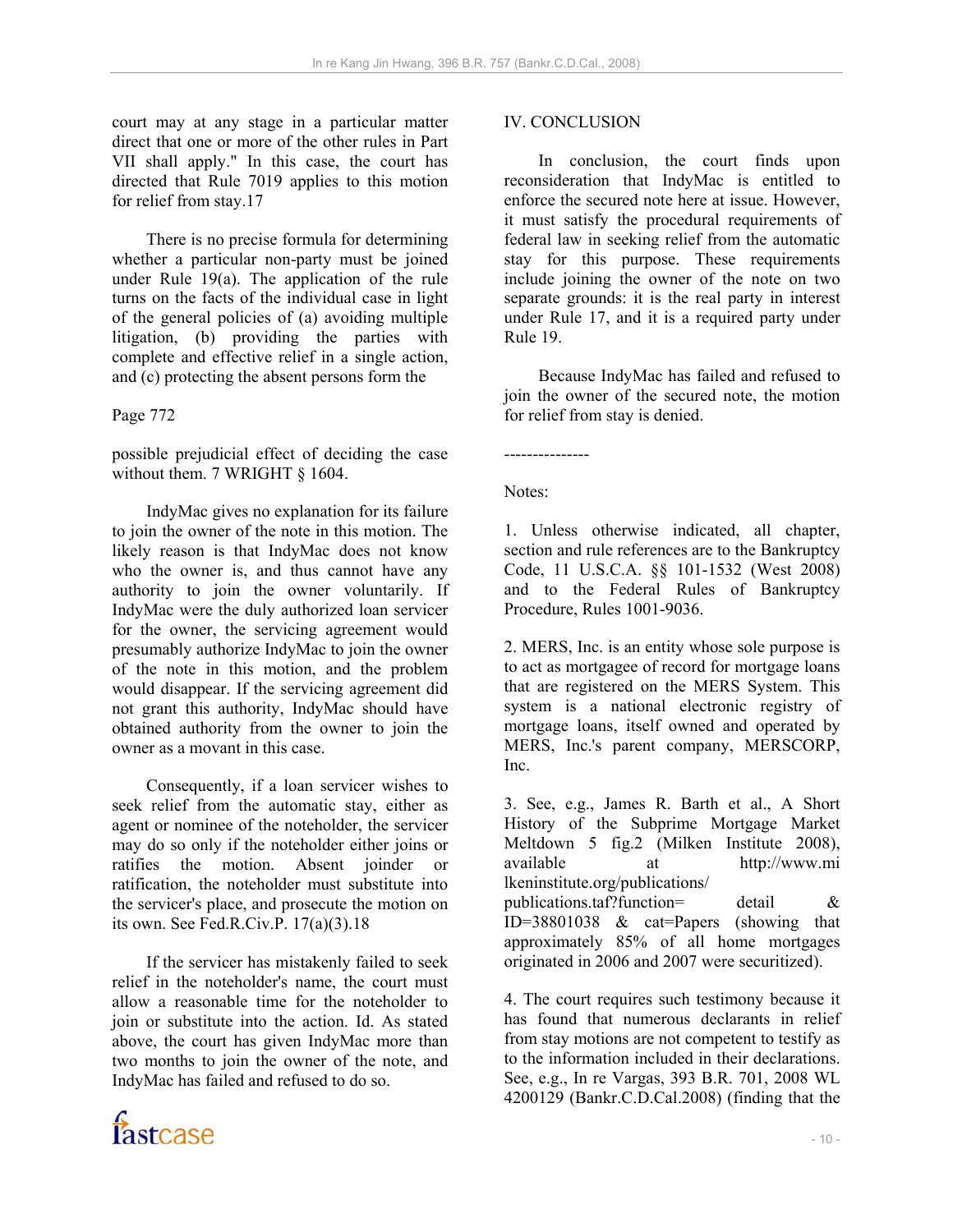court may at any stage in a particular matter direct that one or more of the other rules in Part VII shall apply." In this case, the court has directed that Rule 7019 applies to this motion for relief from stay.17

 There is no precise formula for determining whether a particular non-party must be joined under Rule 19(a). The application of the rule turns on the facts of the individual case in light of the general policies of (a) avoiding multiple litigation, (b) providing the parties with complete and effective relief in a single action, and (c) protecting the absent persons form the

### Page 772

possible prejudicial effect of deciding the case without them. 7 WRIGHT § 1604.

 IndyMac gives no explanation for its failure to join the owner of the note in this motion. The likely reason is that IndyMac does not know who the owner is, and thus cannot have any authority to join the owner voluntarily. If IndyMac were the duly authorized loan servicer for the owner, the servicing agreement would presumably authorize IndyMac to join the owner of the note in this motion, and the problem would disappear. If the servicing agreement did not grant this authority, IndyMac should have obtained authority from the owner to join the owner as a movant in this case.

 Consequently, if a loan servicer wishes to seek relief from the automatic stay, either as agent or nominee of the noteholder, the servicer may do so only if the noteholder either joins or ratifies the motion. Absent joinder or ratification, the noteholder must substitute into the servicer's place, and prosecute the motion on its own. See Fed.R.Civ.P. 17(a)(3).18

 If the servicer has mistakenly failed to seek relief in the noteholder's name, the court must allow a reasonable time for the noteholder to join or substitute into the action. Id. As stated above, the court has given IndyMac more than two months to join the owner of the note, and IndyMac has failed and refused to do so.

## IV. CONCLUSION

 In conclusion, the court finds upon reconsideration that IndyMac is entitled to enforce the secured note here at issue. However, it must satisfy the procedural requirements of federal law in seeking relief from the automatic stay for this purpose. These requirements include joining the owner of the note on two separate grounds: it is the real party in interest under Rule 17, and it is a required party under Rule 19.

 Because IndyMac has failed and refused to join the owner of the secured note, the motion for relief from stay is denied.

---------------

Notes:

1. Unless otherwise indicated, all chapter, section and rule references are to the Bankruptcy Code, 11 U.S.C.A. §§ 101-1532 (West 2008) and to the Federal Rules of Bankruptcy Procedure, Rules 1001-9036.

2. MERS, Inc. is an entity whose sole purpose is to act as mortgagee of record for mortgage loans that are registered on the MERS System. This system is a national electronic registry of mortgage loans, itself owned and operated by MERS, Inc.'s parent company, MERSCORP, Inc.

3. See, e.g., James R. Barth et al., A Short History of the Subprime Mortgage Market Meltdown 5 fig.2 (Milken Institute 2008), available at http://www.mi lkeninstitute.org/publications/ publications.taf?function= detail & ID=38801038 & cat=Papers (showing that approximately 85% of all home mortgages originated in 2006 and 2007 were securitized).

4. The court requires such testimony because it has found that numerous declarants in relief from stay motions are not competent to testify as to the information included in their declarations. See, e.g., In re Vargas, 393 B.R. 701, 2008 WL 4200129 (Bankr.C.D.Cal.2008) (finding that the

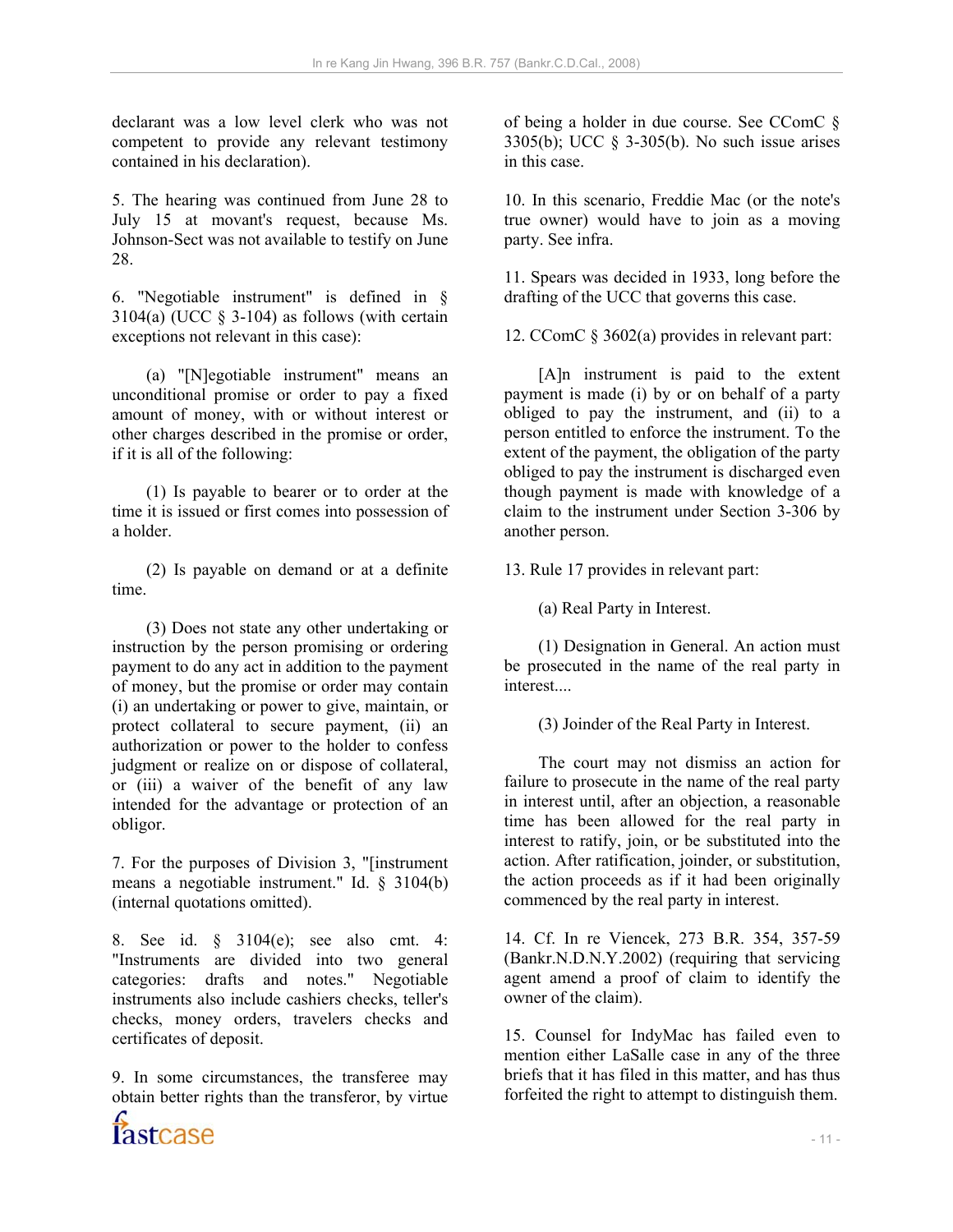declarant was a low level clerk who was not competent to provide any relevant testimony contained in his declaration).

5. The hearing was continued from June 28 to July 15 at movant's request, because Ms. Johnson-Sect was not available to testify on June 28.

6. "Negotiable instrument" is defined in § 3104(a) (UCC  $\S$  3-104) as follows (with certain exceptions not relevant in this case):

 (a) "[N]egotiable instrument" means an unconditional promise or order to pay a fixed amount of money, with or without interest or other charges described in the promise or order, if it is all of the following:

 (1) Is payable to bearer or to order at the time it is issued or first comes into possession of a holder.

 (2) Is payable on demand or at a definite time.

 (3) Does not state any other undertaking or instruction by the person promising or ordering payment to do any act in addition to the payment of money, but the promise or order may contain (i) an undertaking or power to give, maintain, or protect collateral to secure payment, (ii) an authorization or power to the holder to confess judgment or realize on or dispose of collateral, or (iii) a waiver of the benefit of any law intended for the advantage or protection of an obligor.

7. For the purposes of Division 3, "[instrument means a negotiable instrument." Id. § 3104(b) (internal quotations omitted).

8. See id. § 3104(e); see also cmt. 4: "Instruments are divided into two general categories: drafts and notes." Negotiable instruments also include cashiers checks, teller's checks, money orders, travelers checks and certificates of deposit.

9. In some circumstances, the transferee may obtain better rights than the transferor, by virtue

of being a holder in due course. See CComC § 3305(b); UCC § 3-305(b). No such issue arises in this case.

10. In this scenario, Freddie Mac (or the note's true owner) would have to join as a moving party. See infra.

11. Spears was decided in 1933, long before the drafting of the UCC that governs this case.

12. CComC § 3602(a) provides in relevant part:

 [A]n instrument is paid to the extent payment is made (i) by or on behalf of a party obliged to pay the instrument, and (ii) to a person entitled to enforce the instrument. To the extent of the payment, the obligation of the party obliged to pay the instrument is discharged even though payment is made with knowledge of a claim to the instrument under Section 3-306 by another person.

13. Rule 17 provides in relevant part:

(a) Real Party in Interest.

 (1) Designation in General. An action must be prosecuted in the name of the real party in interest....

(3) Joinder of the Real Party in Interest.

 The court may not dismiss an action for failure to prosecute in the name of the real party in interest until, after an objection, a reasonable time has been allowed for the real party in interest to ratify, join, or be substituted into the action. After ratification, joinder, or substitution, the action proceeds as if it had been originally commenced by the real party in interest.

14. Cf. In re Viencek, 273 B.R. 354, 357-59 (Bankr.N.D.N.Y.2002) (requiring that servicing agent amend a proof of claim to identify the owner of the claim).

15. Counsel for IndyMac has failed even to mention either LaSalle case in any of the three briefs that it has filed in this matter, and has thus forfeited the right to attempt to distinguish them.